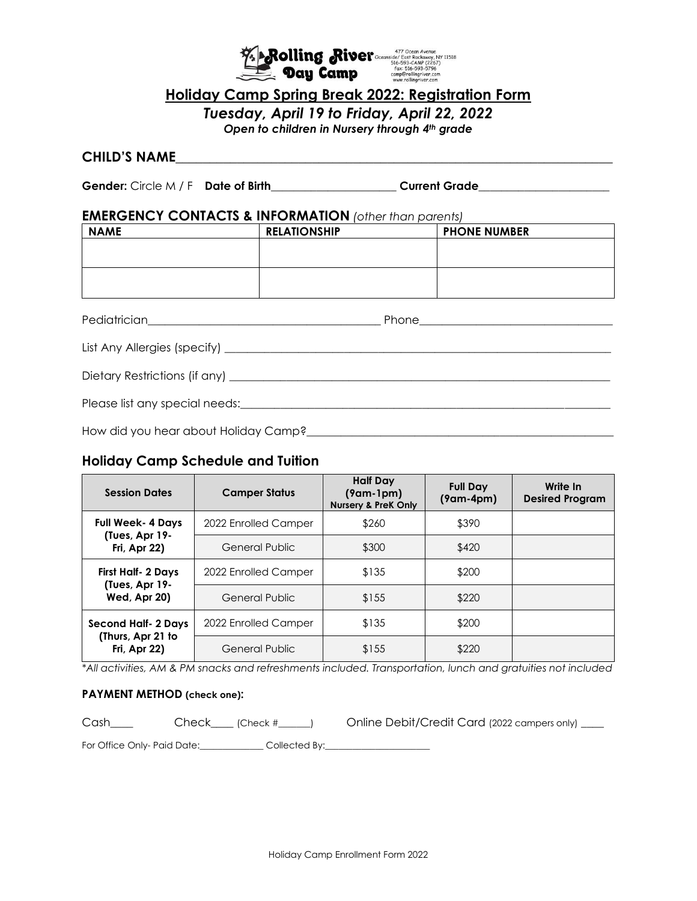

## **Holiday Camp Spring Break 2022: Registration Form**

*Tuesday, April 19 to Friday, April 22, 2022*

*Open to children in Nursery through 4th grade*

## **CHILD'S NAME**\_\_\_\_\_\_\_\_\_\_\_\_\_\_\_\_\_\_\_\_\_\_\_\_\_\_\_\_\_\_\_\_\_\_\_\_\_\_\_\_\_\_\_\_\_\_\_\_\_\_\_\_\_\_\_\_\_\_\_\_\_\_\_\_

**Gender:** Circle M / F **Date of Birth**\_\_\_\_\_\_\_\_\_\_\_\_\_\_\_\_\_\_\_\_\_\_ **Current Grade**\_\_\_\_\_\_\_\_\_\_\_\_\_\_\_\_\_\_\_\_\_\_\_

#### **EMERGENCY CONTACTS & INFORMATION** *(other than parents)*

| <b>NAME</b> | <b>RELATIONSHIP</b> | <b>PHONE NUMBER</b> |
|-------------|---------------------|---------------------|
|             |                     |                     |
|             |                     |                     |
|             |                     |                     |
|             |                     |                     |
|             |                     |                     |

Pediatrician\_\_\_\_\_\_\_\_\_\_\_\_\_\_\_\_\_\_\_\_\_\_\_\_\_\_\_\_\_\_\_\_\_\_\_\_\_\_\_\_\_ Phone\_\_\_\_\_\_\_\_\_\_\_\_\_\_\_\_\_\_\_\_\_\_\_\_\_\_\_\_\_\_\_\_\_\_

| List Any Allergies (specify) |  |
|------------------------------|--|
|------------------------------|--|

Dietary Restrictions (if any) \_\_\_\_\_\_\_\_\_\_\_\_\_\_\_\_\_\_\_\_\_\_\_\_\_\_\_\_\_\_\_\_\_\_\_\_\_\_\_\_\_\_\_\_\_\_\_\_\_\_\_\_\_\_\_\_\_\_\_\_\_\_\_\_\_\_\_

Please list any special needs:\_\_\_\_\_\_\_\_\_\_\_\_\_\_\_\_\_\_\_\_\_\_\_\_\_\_\_\_\_\_\_\_\_\_\_\_\_\_\_\_\_\_\_\_\_\_\_\_\_\_\_\_\_\_\_\_\_\_\_\_\_\_\_\_\_

How did you hear about Holiday Camp?\_\_\_\_\_\_\_\_\_\_\_\_\_\_\_\_\_\_\_\_\_\_\_\_\_\_\_\_\_\_\_\_\_\_\_\_\_\_\_\_\_\_\_\_\_\_\_\_\_\_\_\_\_\_

# **Holiday Camp Schedule and Tuition**

| <b>Session Dates</b>                                            | <b>Camper Status</b>  | <b>Half Day</b><br>$(9am-1pm)$<br><b>Nursery &amp; PreK Only</b> | <b>Full Day</b><br>$(9am-4pm)$ | Write In<br><b>Desired Program</b> |
|-----------------------------------------------------------------|-----------------------|------------------------------------------------------------------|--------------------------------|------------------------------------|
| <b>Full Week-4 Days</b><br>(Tues, Apr 19-<br>Fri, Apr 22)       | 2022 Enrolled Camper  | \$260                                                            | \$390                          |                                    |
|                                                                 | General Public        | \$300                                                            | \$420                          |                                    |
| First Half- 2 Days<br>(Tues, Apr 19-<br><b>Wed, Apr 20)</b>     | 2022 Enrolled Camper  | \$135                                                            | \$200                          |                                    |
|                                                                 | General Public        | \$155                                                            | \$220                          |                                    |
| Second Half- 2 Days<br>(Thurs, Apr 21 to<br><b>Fri, Apr 22)</b> | 2022 Enrolled Camper  | \$135                                                            | \$200                          |                                    |
|                                                                 | <b>General Public</b> | \$155                                                            | \$220                          |                                    |

*\*All activities, AM & PM snacks and refreshments included. Transportation, lunch and gratuities not included*

#### **PAYMENT METHOD (check one):**

Cash\_\_\_\_ Check\_\_\_\_ (Check #\_\_\_\_\_) Online Debit/Credit Card (2022 campers only) \_\_\_

For Office Only- Paid Date:\_\_\_\_\_\_\_\_\_\_\_\_\_\_\_Collected By:\_\_\_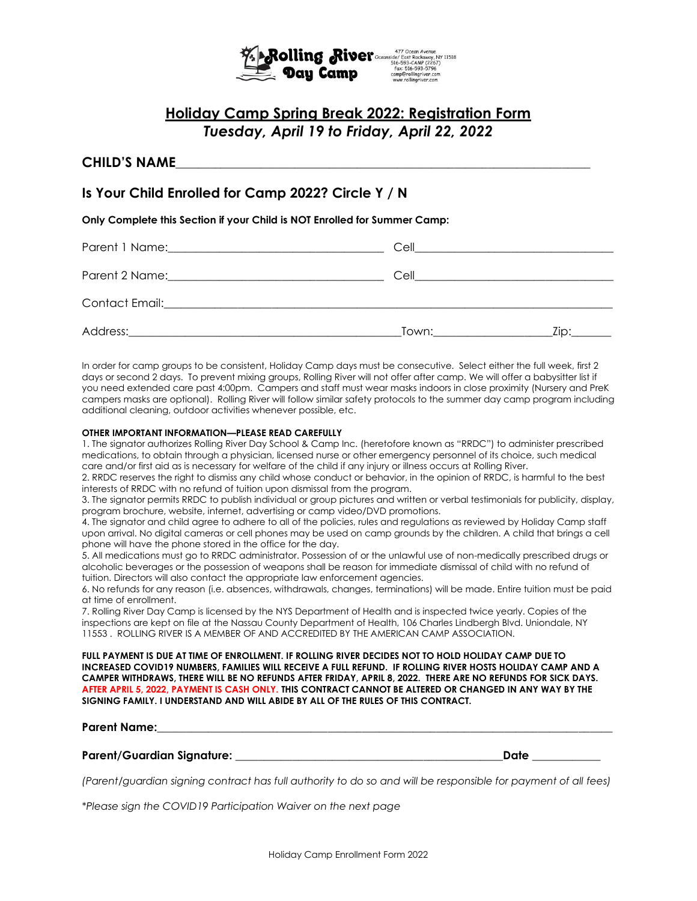

# **Holiday Camp Spring Break 2022: Registration Form** *Tuesday, April 19 to Friday, April 22, 2022*

### **CHILD'S NAME**\_\_\_\_\_\_\_\_\_\_\_\_\_\_\_\_\_\_\_\_\_\_\_\_\_\_\_\_\_\_\_\_\_\_\_\_\_\_\_\_\_\_\_\_\_\_\_\_\_\_\_\_\_\_\_\_\_\_\_\_\_\_\_\_\_\_\_\_\_\_\_\_\_

## **Is Your Child Enrolled for Camp 2022? Circle Y / N**

**Only Complete this Section if your Child is NOT Enrolled for Summer Camp:**

| Parent 1 Name: 2008 2010 12:00 12:00 12:00 12:00 12:00 12:00 12:00 12:00 12:00 12:00 12:00 12:00 12:00 12:00 1                                                                                                                 | Cell                                                       |      |
|--------------------------------------------------------------------------------------------------------------------------------------------------------------------------------------------------------------------------------|------------------------------------------------------------|------|
| Parent 2 Name: Name and Separate and Separate and Separate and Separate and Separate and Separate and Separate and Separate and Separate and Separate and Separate and Separate and Separate and Separate and Separate and Sep | Cell<br><u> 1980 - John Stone, Amerikaansk politiker (</u> |      |
| Contact Email: <u>Contact Email:</u>                                                                                                                                                                                           |                                                            |      |
| Address:                                                                                                                                                                                                                       | Town:                                                      | Zip: |

In order for camp groups to be consistent, Holiday Camp days must be consecutive. Select either the full week, first 2 days or second 2 days. To prevent mixing groups, Rolling River will not offer after camp. We will offer a babysitter list if you need extended care past 4:00pm. Campers and staff must wear masks indoors in close proximity (Nursery and PreK campers masks are optional). Rolling River will follow similar safety protocols to the summer day camp program including additional cleaning, outdoor activities whenever possible, etc.

#### **OTHER IMPORTANT INFORMATION—PLEASE READ CAREFULLY**

1. The signator authorizes Rolling River Day School & Camp Inc. (heretofore known as "RRDC") to administer prescribed medications, to obtain through a physician, licensed nurse or other emergency personnel of its choice, such medical care and/or first aid as is necessary for welfare of the child if any injury or illness occurs at Rolling River.

2. RRDC reserves the right to dismiss any child whose conduct or behavior, in the opinion of RRDC, is harmful to the best interests of RRDC with no refund of tuition upon dismissal from the program.

3. The signator permits RRDC to publish individual or group pictures and written or verbal testimonials for publicity, display, program brochure, website, internet, advertising or camp video/DVD promotions.

4. The signator and child agree to adhere to all of the policies, rules and regulations as reviewed by Holiday Camp staff upon arrival. No digital cameras or cell phones may be used on camp grounds by the children. A child that brings a cell phone will have the phone stored in the office for the day.

5. All medications must go to RRDC administrator. Possession of or the unlawful use of non-medically prescribed drugs or alcoholic beverages or the possession of weapons shall be reason for immediate dismissal of child with no refund of tuition. Directors will also contact the appropriate law enforcement agencies.

6. No refunds for any reason (i.e. absences, withdrawals, changes, terminations) will be made. Entire tuition must be paid at time of enrollment.

7. Rolling River Day Camp is licensed by the NYS Department of Health and is inspected twice yearly. Copies of the inspections are kept on file at the Nassau County Department of Health, 106 Charles Lindbergh Blvd. Uniondale, NY 11553 . ROLLING RIVER IS A MEMBER OF AND ACCREDITED BY THE AMERICAN CAMP ASSOCIATION.

**FULL PAYMENT IS DUE AT TIME OF ENROLLMENT. IF ROLLING RIVER DECIDES NOT TO HOLD HOLIDAY CAMP DUE TO INCREASED COVID19 NUMBERS, FAMILIES WILL RECEIVE A FULL REFUND. IF ROLLING RIVER HOSTS HOLIDAY CAMP AND A CAMPER WITHDRAWS, THERE WILL BE NO REFUNDS AFTER FRIDAY, APRIL 8, 2022. THERE ARE NO REFUNDS FOR SICK DAYS. AFTER APRIL 5, 2022, PAYMENT IS CASH ONLY. THIS CONTRACT CANNOT BE ALTERED OR CHANGED IN ANY WAY BY THE SIGNING FAMILY. I UNDERSTAND AND WILL ABIDE BY ALL OF THE RULES OF THIS CONTRACT.** 

#### **Parent Name:**\_\_\_\_\_\_\_\_\_\_\_\_\_\_\_\_\_\_\_\_\_\_\_\_\_\_\_\_\_\_\_\_\_\_\_\_\_\_\_\_\_\_\_\_\_\_\_\_\_\_\_\_\_\_\_\_\_\_\_\_\_\_\_\_\_\_\_\_\_\_\_\_\_\_\_\_\_\_\_\_

#### **Parent/Guardian Signature:** \_\_\_\_\_\_\_\_\_\_\_\_\_\_\_\_\_\_\_\_\_\_\_\_\_\_\_\_\_\_\_\_\_\_\_\_\_\_\_\_\_\_\_\_\_\_**\_Date** \_\_\_\_\_\_\_\_\_\_\_\_

*(Parent/guardian signing contract has full authority to do so and will be responsible for payment of all fees)*

*\*Please sign the COVID19 Participation Waiver on the next page*